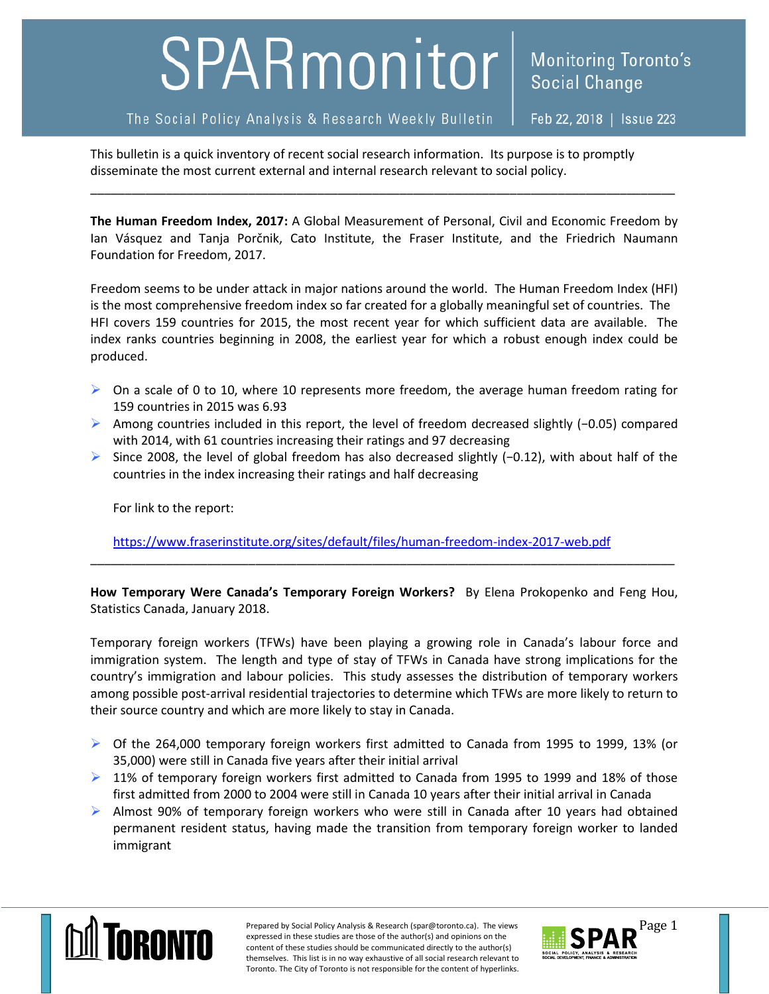## SPARmonitor

The Social Policy Analysis & Research Weekly Bulletin

Feb 22, 2018 | Issue 223

This bulletin is a quick inventory of recent social research information. Its purpose is to promptly disseminate the most current external and internal research relevant to social policy.

**The Human Freedom Index, 2017:** A Global Measurement of Personal, Civil and Economic Freedom by Ian Vásquez and Tanja Porčnik, Cato Institute, the Fraser Institute, and the Friedrich Naumann Foundation for Freedom, 2017.

\_\_\_\_\_\_\_\_\_\_\_\_\_\_\_\_\_\_\_\_\_\_\_\_\_\_\_\_\_\_\_\_\_\_\_\_\_\_\_\_\_\_\_\_\_\_\_\_\_\_\_\_\_\_\_\_\_\_\_\_\_\_\_\_\_\_\_\_\_\_\_\_\_\_\_\_\_\_\_\_\_\_\_\_\_

Freedom seems to be under attack in major nations around the world. The Human Freedom Index (HFI) is the most comprehensive freedom index so far created for a globally meaningful set of countries. The HFI covers 159 countries for 2015, the most recent year for which sufficient data are available. The index ranks countries beginning in 2008, the earliest year for which a robust enough index could be produced.

- $\triangleright$  On a scale of 0 to 10, where 10 represents more freedom, the average human freedom rating for 159 countries in 2015 was 6.93
- Among countries included in this report, the level of freedom decreased slightly (−0.05) compared with 2014, with 61 countries increasing their ratings and 97 decreasing
- Since 2008, the level of global freedom has also decreased slightly (−0.12), with about half of the countries in the index increasing their ratings and half decreasing

For link to the report:

<https://www.fraserinstitute.org/sites/default/files/human-freedom-index-2017-web.pdf>

**How Temporary Were Canada's Temporary Foreign Workers?** By Elena Prokopenko and Feng Hou, Statistics Canada, January 2018.

\_\_\_\_\_\_\_\_\_\_\_\_\_\_\_\_\_\_\_\_\_\_\_\_\_\_\_\_\_\_\_\_\_\_\_\_\_\_\_\_\_\_\_\_\_\_\_\_\_\_\_\_\_\_\_\_\_\_\_\_\_\_\_\_\_\_\_\_\_\_\_\_\_\_\_\_\_\_\_\_\_\_\_\_\_

Temporary foreign workers (TFWs) have been playing a growing role in Canada's labour force and immigration system. The length and type of stay of TFWs in Canada have strong implications for the country's immigration and labour policies. This study assesses the distribution of temporary workers among possible post-arrival residential trajectories to determine which TFWs are more likely to return to their source country and which are more likely to stay in Canada.

- $\triangleright$  Of the 264,000 temporary foreign workers first admitted to Canada from 1995 to 1999, 13% (or 35,000) were still in Canada five years after their initial arrival
- $\triangleright$  11% of temporary foreign workers first admitted to Canada from 1995 to 1999 and 18% of those first admitted from 2000 to 2004 were still in Canada 10 years after their initial arrival in Canada
- $\triangleright$  Almost 90% of temporary foreign workers who were still in Canada after 10 years had obtained permanent resident status, having made the transition from temporary foreign worker to landed immigrant



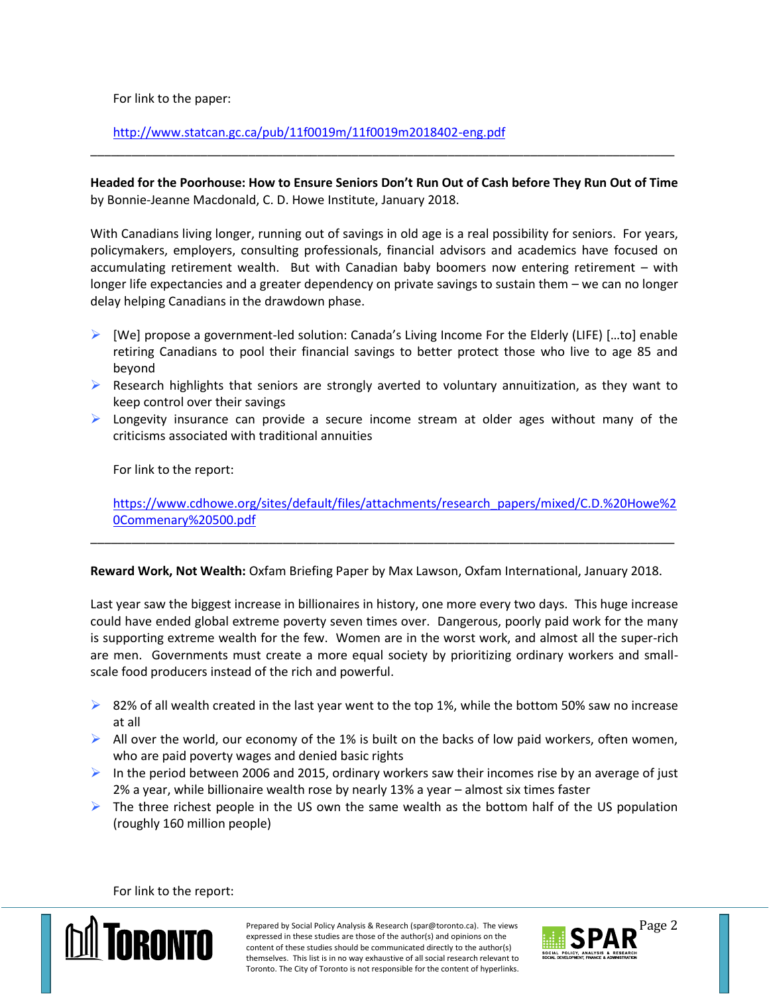For link to the paper:

<http://www.statcan.gc.ca/pub/11f0019m/11f0019m2018402-eng.pdf>

**Headed for the Poorhouse: How to Ensure Seniors Don't Run Out of Cash before They Run Out of Time** by Bonnie-Jeanne Macdonald, C. D. Howe Institute, January 2018.

\_\_\_\_\_\_\_\_\_\_\_\_\_\_\_\_\_\_\_\_\_\_\_\_\_\_\_\_\_\_\_\_\_\_\_\_\_\_\_\_\_\_\_\_\_\_\_\_\_\_\_\_\_\_\_\_\_\_\_\_\_\_\_\_\_\_\_\_\_\_\_\_\_\_\_\_\_\_\_\_\_\_\_\_\_

With Canadians living longer, running out of savings in old age is a real possibility for seniors. For years, policymakers, employers, consulting professionals, financial advisors and academics have focused on accumulating retirement wealth. But with Canadian baby boomers now entering retirement – with longer life expectancies and a greater dependency on private savings to sustain them – we can no longer delay helping Canadians in the drawdown phase.

- $\triangleright$  [We] propose a government-led solution: Canada's Living Income For the Elderly (LIFE) [...to] enable retiring Canadians to pool their financial savings to better protect those who live to age 85 and beyond
- $\triangleright$  Research highlights that seniors are strongly averted to voluntary annuitization, as they want to keep control over their savings
- $\triangleright$  Longevity insurance can provide a secure income stream at older ages without many of the criticisms associated with traditional annuities

For link to the report:

[https://www.cdhowe.org/sites/default/files/attachments/research\\_papers/mixed/C.D.%20Howe%2](https://www.cdhowe.org/sites/default/files/attachments/research_papers/mixed/C.D.%20Howe%20Commenary%20500.pdf) [0Commenary%20500.pdf](https://www.cdhowe.org/sites/default/files/attachments/research_papers/mixed/C.D.%20Howe%20Commenary%20500.pdf)

**Reward Work, Not Wealth:** Oxfam Briefing Paper by Max Lawson, Oxfam International, January 2018.

\_\_\_\_\_\_\_\_\_\_\_\_\_\_\_\_\_\_\_\_\_\_\_\_\_\_\_\_\_\_\_\_\_\_\_\_\_\_\_\_\_\_\_\_\_\_\_\_\_\_\_\_\_\_\_\_\_\_\_\_\_\_\_\_\_\_\_\_\_\_\_\_\_\_\_\_\_\_\_\_\_\_\_\_\_

Last year saw the biggest increase in billionaires in history, one more every two days. This huge increase could have ended global extreme poverty seven times over. Dangerous, poorly paid work for the many is supporting extreme wealth for the few. Women are in the worst work, and almost all the super-rich are men. Governments must create a more equal society by prioritizing ordinary workers and smallscale food producers instead of the rich and powerful.

- $\triangleright$  82% of all wealth created in the last year went to the top 1%, while the bottom 50% saw no increase at all
- $\triangleright$  All over the world, our economy of the 1% is built on the backs of low paid workers, often women, who are paid poverty wages and denied basic rights
- In the period between 2006 and 2015, ordinary workers saw their incomes rise by an average of just 2% a year, while billionaire wealth rose by nearly 13% a year – almost six times faster
- $\triangleright$  The three richest people in the US own the same wealth as the bottom half of the US population (roughly 160 million people)

For link to the report: